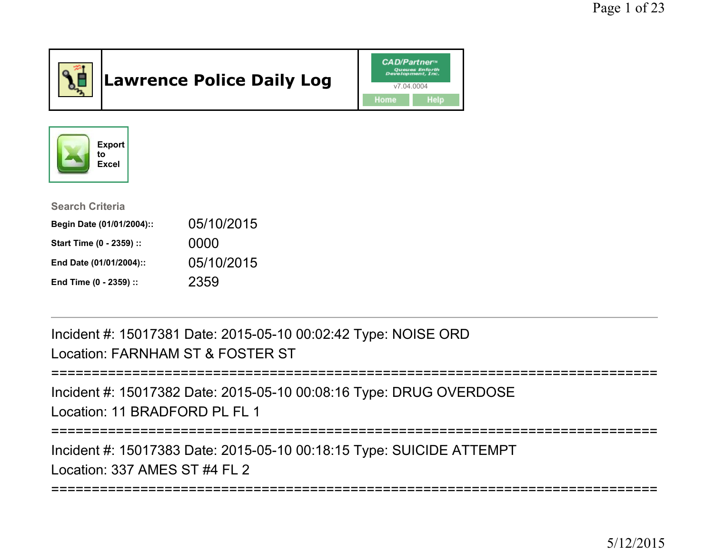

# Lawrence Police Daily Log





| <b>Search Criteria</b>    |            |
|---------------------------|------------|
| Begin Date (01/01/2004):: | 05/10/2015 |
| Start Time (0 - 2359) ::  | 0000       |
| End Date (01/01/2004)::   | 05/10/2015 |
| End Time (0 - 2359) ::    | 2359       |

Incident #: 15017381 Date: 2015-05-10 00:02:42 Type: NOISE ORDLocation: FARNHAM ST & FOSTER ST

```
===========================================================================
```
Incident #: 15017382 Date: 2015-05-10 00:08:16 Type: DRUG OVERDOSELocation: 11 BRADEORD PL FL 1

===========================================================================

Incident #: 15017383 Date: 2015-05-10 00:18:15 Type: SUICIDE ATTEMPTLocation: 337 AMES ST #4 FL 2

======================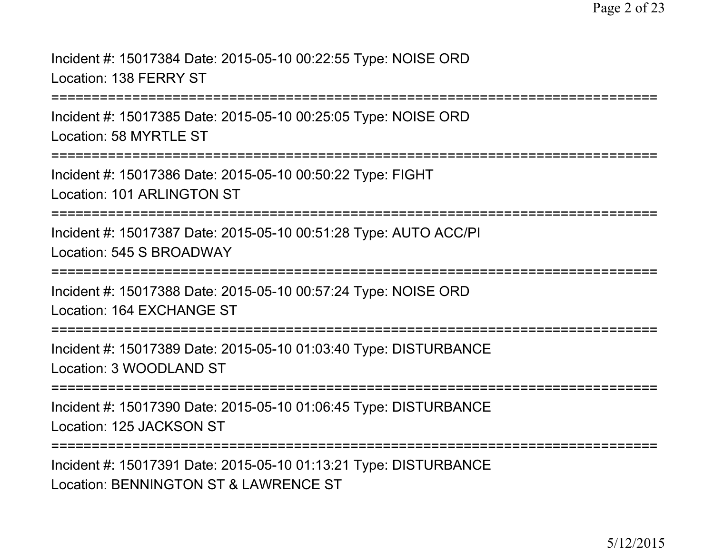Incident #: 15017384 Date: 2015-05-10 00:22:55 Type: NOISE ORDLocation: 138 FERRY ST

===========================================================================

Incident #: 15017385 Date: 2015-05-10 00:25:05 Type: NOISE ORDLocation: 58 MYRTLE ST

===========================================================================

Incident #: 15017386 Date: 2015-05-10 00:50:22 Type: FIGHTLocation: 101 ARLINGTON ST

===========================================================================

Incident #: 15017387 Date: 2015-05-10 00:51:28 Type: AUTO ACC/PILocation: 545 S BROADWAY

===========================================================================

Incident #: 15017388 Date: 2015-05-10 00:57:24 Type: NOISE ORDLocation: 164 EXCHANGE ST

===========================================================================

Incident #: 15017389 Date: 2015-05-10 01:03:40 Type: DISTURBANCELocation: 3 WOODLAND ST

===========================================================================

Incident #: 15017390 Date: 2015-05-10 01:06:45 Type: DISTURBANCELocation: 125 JACKSON ST

**===================** 

Incident #: 15017391 Date: 2015-05-10 01:13:21 Type: DISTURBANCELocation: BENNINGTON ST & LAWRENCE ST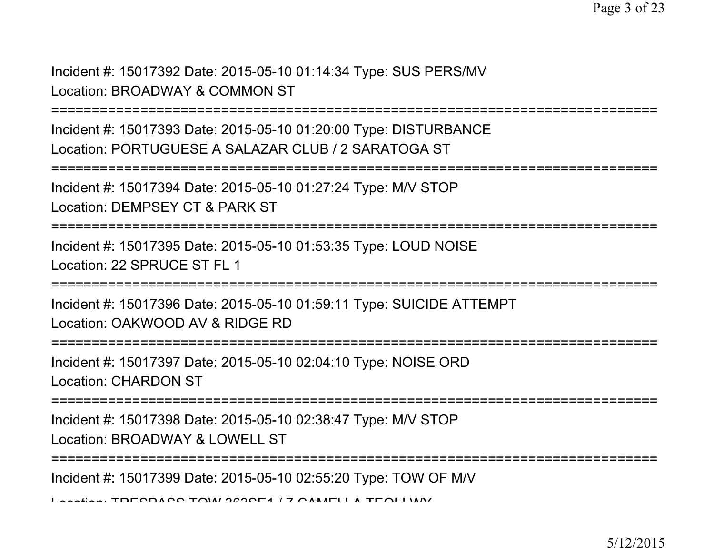Incident #: 15017392 Date: 2015-05-10 01:14:34 Type: SUS PERS/MVLocation: BROADWAY & COMMON ST

===========================================================================

Incident #: 15017393 Date: 2015-05-10 01:20:00 Type: DISTURBANCELocation: PORTUGUESE A SALAZAR CLUB / 2 SARATOGA ST

```
===========================================================================
```
Incident #: 15017394 Date: 2015-05-10 01:27:24 Type: M/V STOP

Location: DEMPSEY CT & PARK ST

===========================================================================

Incident #: 15017395 Date: 2015-05-10 01:53:35 Type: LOUD NOISELocation: 22 SPRUCE ST FL 1

===========================================================================

Incident #: 15017396 Date: 2015-05-10 01:59:11 Type: SUICIDE ATTEMPTLocation: OAKWOOD AV & RIDGE RD

===========================================================================

Incident #: 15017397 Date: 2015-05-10 02:04:10 Type: NOISE ORDLocation: CHARDON ST

===========================================================================

Incident #: 15017398 Date: 2015-05-10 02:38:47 Type: M/V STOPLocation: BROADWAY & LOWELL ST

===========================================================================

Incident #: 15017399 Date: 2015-05-10 02:55:20 Type: TOW OF M/V

 $L_{\text{c}}$  TRESPASS TOW 363SE4 / 7 CAMELLA TEOLIMA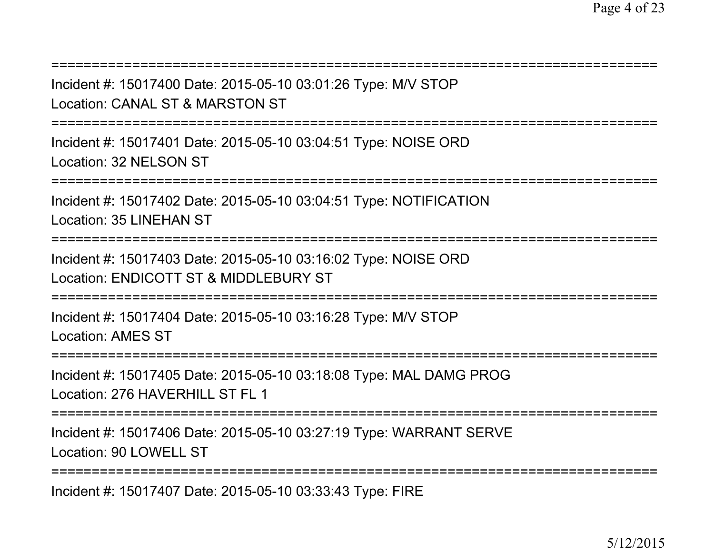| Incident #: 15017400 Date: 2015-05-10 03:01:26 Type: M/V STOP<br>Location: CANAL ST & MARSTON ST             |
|--------------------------------------------------------------------------------------------------------------|
| Incident #: 15017401 Date: 2015-05-10 03:04:51 Type: NOISE ORD<br>Location: 32 NELSON ST                     |
| Incident #: 15017402 Date: 2015-05-10 03:04:51 Type: NOTIFICATION<br><b>Location: 35 LINEHAN ST</b>          |
| Incident #: 15017403 Date: 2015-05-10 03:16:02 Type: NOISE ORD<br>Location: ENDICOTT ST & MIDDLEBURY ST      |
| Incident #: 15017404 Date: 2015-05-10 03:16:28 Type: M/V STOP<br><b>Location: AMES ST</b>                    |
| Incident #: 15017405 Date: 2015-05-10 03:18:08 Type: MAL DAMG PROG<br>Location: 276 HAVERHILL ST FL 1        |
| ============<br>Incident #: 15017406 Date: 2015-05-10 03:27:19 Type: WARRANT SERVE<br>Location: 90 LOWELL ST |
| Incident #: 15017407 Date: 2015-05-10 03:33:43 Type: FIRE                                                    |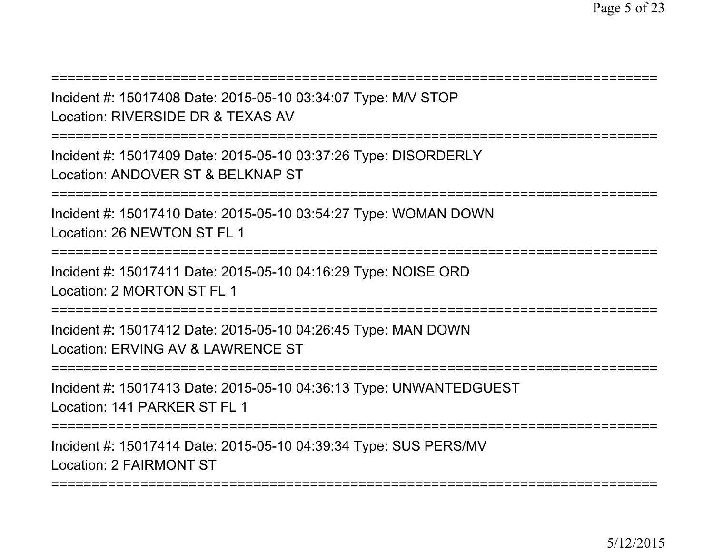===========================================================================

Incident #: 15017408 Date: 2015-05-10 03:34:07 Type: M/V STOPLocation: RIVERSIDE DR & TEXAS AV

===========================================================================

Incident #: 15017409 Date: 2015-05-10 03:37:26 Type: DISORDERLYLocation: ANDOVER ST & BELKNAP ST

===========================================================================

Incident #: 15017410 Date: 2015-05-10 03:54:27 Type: WOMAN DOWNLocation: 26 NEWTON ST FL 1

===========================================================================

Incident #: 15017411 Date: 2015-05-10 04:16:29 Type: NOISE ORDLocation: 2 MORTON ST FL 1

===========================================================================

Incident #: 15017412 Date: 2015-05-10 04:26:45 Type: MAN DOWNLocation: ERVING AV & LAWRENCE ST

===========================================================================

Incident #: 15017413 Date: 2015-05-10 04:36:13 Type: UNWANTEDGUESTLocation: 141 PARKER ST FL 1

===========================================================================

Incident #: 15017414 Date: 2015-05-10 04:39:34 Type: SUS PERS/MVLocation: 2 FAIRMONT ST

===========================================================================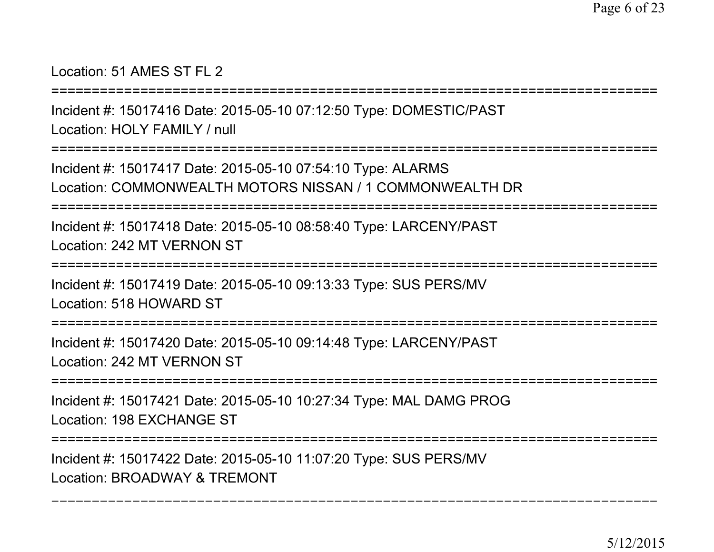# Location: 51 AMES ST FL 2

**===================** 

Incident #: 15017416 Date: 2015-05-10 07:12:50 Type: DOMESTIC/PASTLocation: HOLY FAMILY / null

===========================================================================

Incident #: 15017417 Date: 2015-05-10 07:54:10 Type: ALARMSLocation: COMMONWEALTH MOTORS NISSAN / 1 COMMONWEALTH DR

-----------------===========================================================================

Incident #: 15017418 Date: 2015-05-10 08:58:40 Type: LARCENY/PASTLocation: 242 MT VERNON ST

```
===========================================================================
```
Incident #: 15017419 Date: 2015-05-10 09:13:33 Type: SUS PERS/MVLocation: 518 HOWARD ST

===========================================================================

Incident #: 15017420 Date: 2015-05-10 09:14:48 Type: LARCENY/PASTLocation: 242 MT VERNON ST

===========================================================================

Incident #: 15017421 Date: 2015-05-10 10:27:34 Type: MAL DAMG PROGLocation: 198 EXCHANGE ST

===========================================================================

Incident #: 15017422 Date: 2015-05-10 11:07:20 Type: SUS PERS/MVLocation: BROADWAY & TREMONT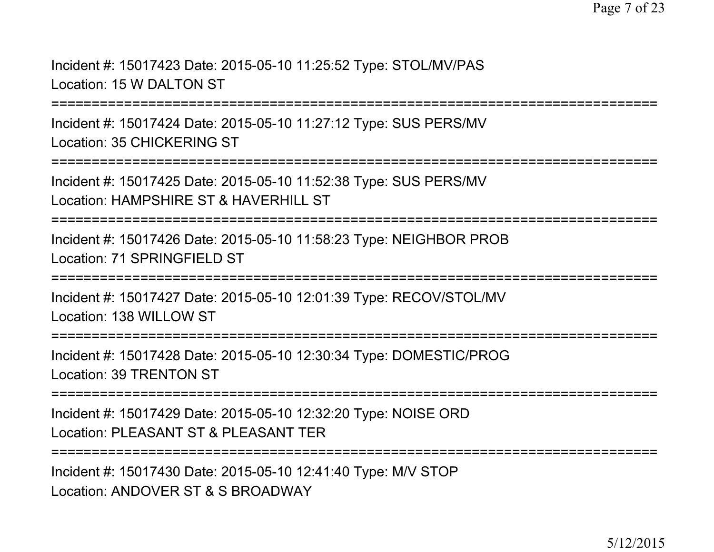Incident #: 15017423 Date: 2015-05-10 11:25:52 Type: STOL/MV/PASLocation: 15 W DALTON ST

===========================================================================

Incident #: 15017424 Date: 2015-05-10 11:27:12 Type: SUS PERS/MVLocation: 35 CHICKERING ST

===========================================================================

Incident #: 15017425 Date: 2015-05-10 11:52:38 Type: SUS PERS/MVLocation: HAMPSHIRE ST & HAVERHILL ST

===========================================================================

Incident #: 15017426 Date: 2015-05-10 11:58:23 Type: NEIGHBOR PROBLocation: 71 SPRINGFIFLD ST

===========================================================================

Incident #: 15017427 Date: 2015-05-10 12:01:39 Type: RECOV/STOL/MVLocation: 138 WILLOW ST

===========================================================================

Incident #: 15017428 Date: 2015-05-10 12:30:34 Type: DOMESTIC/PROGLocation: 39 TRENTON ST

===========================================================================

Incident #: 15017429 Date: 2015-05-10 12:32:20 Type: NOISE ORDLocation: PLEASANT ST & PLEASANT TER

===========================================================================

Incident #: 15017430 Date: 2015-05-10 12:41:40 Type: M/V STOPLocation: ANDOVER ST & S BROADWAY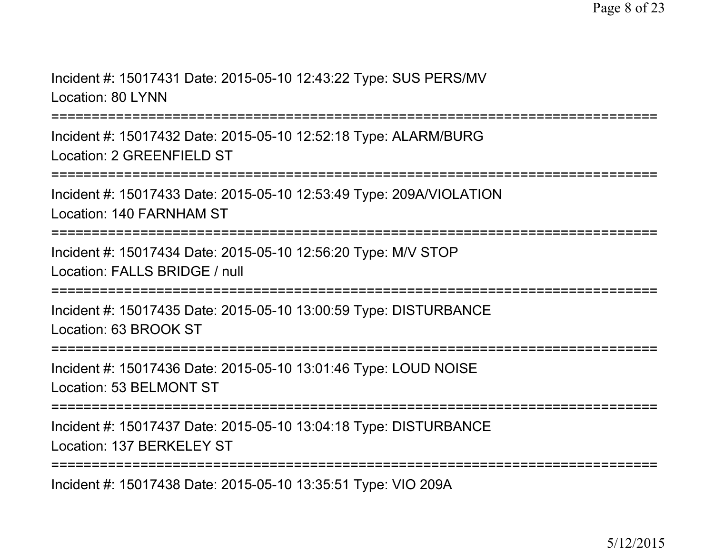Incident #: 15017431 Date: 2015-05-10 12:43:22 Type: SUS PERS/MVLocation: 80 LYNN

===========================================================================

Incident #: 15017432 Date: 2015-05-10 12:52:18 Type: ALARM/BURGLocation: 2 GREENFIELD ST

===========================================================================

Incident #: 15017433 Date: 2015-05-10 12:53:49 Type: 209A/VIOLATIONLocation: 140 FARNHAM ST

===========================================================================

Incident #: 15017434 Date: 2015-05-10 12:56:20 Type: M/V STOPLocation: FALLS BRIDGE / null

===========================================================================

Incident #: 15017435 Date: 2015-05-10 13:00:59 Type: DISTURBANCELocation: 63 BROOK ST

===========================================================================

Incident #: 15017436 Date: 2015-05-10 13:01:46 Type: LOUD NOISELocation: 53 BELMONT ST

===========================================================================

Incident #: 15017437 Date: 2015-05-10 13:04:18 Type: DISTURBANCELocation: 137 BERKELEY ST

===========================================================================

Incident #: 15017438 Date: 2015-05-10 13:35:51 Type: VIO 209A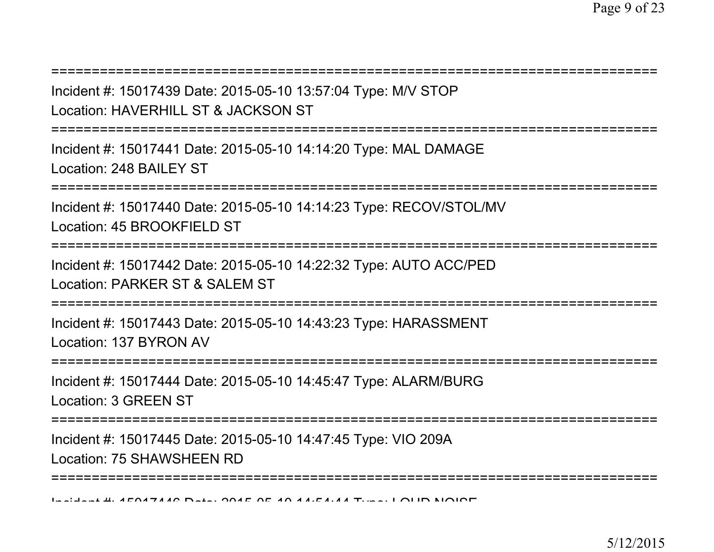Incident #: 15017439 Date: 2015-05-10 13:57:04 Type: M/V STOPLocation: HAVERHILL ST & JACKSON ST

===========================================================================

===========================================================================

Incident #: 15017441 Date: 2015-05-10 14:14:20 Type: MAL DAMAGELocation: 248 BAILEY ST

===========================================================================

Incident #: 15017440 Date: 2015-05-10 14:14:23 Type: RECOV/STOL/MVLocation: 45 BROOKFIELD ST

===========================================================================

Incident #: 15017442 Date: 2015-05-10 14:22:32 Type: AUTO ACC/PEDLocation: PARKER ST & SALEM ST

===========================================================================

Incident #: 15017443 Date: 2015-05-10 14:43:23 Type: HARASSMENTLocation: 137 BYRON AV

===========================================================================

Incident #: 15017444 Date: 2015-05-10 14:45:47 Type: ALARM/BURGLocation: 3 GREEN ST

===========================================================================

Incident #: 15017445 Date: 2015-05-10 14:47:45 Type: VIO 209ALocation: 75 SHAWSHEEN RD

===========================================================================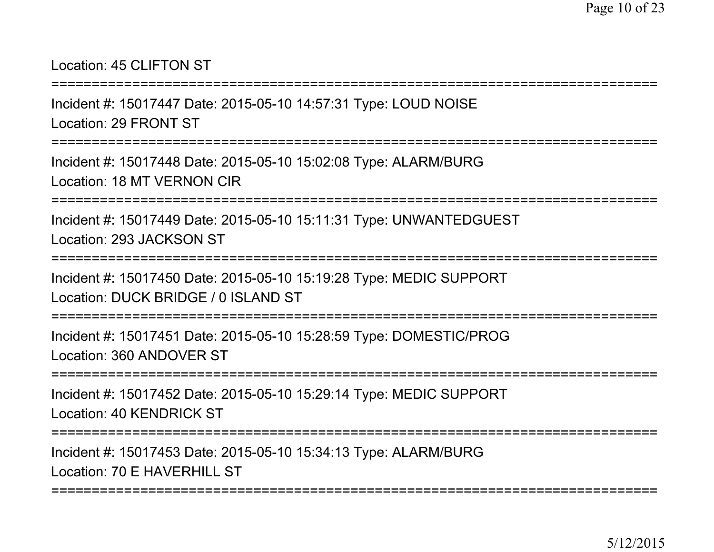# Location: 45 CLIFTON ST

=========================

Incident #: 15017447 Date: 2015-05-10 14:57:31 Type: LOUD NOISELocation: 29 FRONT ST

===========================================================================

Incident #: 15017448 Date: 2015-05-10 15:02:08 Type: ALARM/BURGLocation: 18 MT VERNON CIR

===========================================================================

Incident #: 15017449 Date: 2015-05-10 15:11:31 Type: UNWANTEDGUESTLocation: 293 JACKSON ST

===========================================================================

Incident #: 15017450 Date: 2015-05-10 15:19:28 Type: MEDIC SUPPORTLocation: DUCK BRIDGE / 0 ISLAND ST

===========================================================================

Incident #: 15017451 Date: 2015-05-10 15:28:59 Type: DOMESTIC/PROGLocation: 360 ANDOVER ST

===========================================================================

Incident #: 15017452 Date: 2015-05-10 15:29:14 Type: MEDIC SUPPORTLocation: 40 KENDRICK ST

===========================================================================

Incident #: 15017453 Date: 2015-05-10 15:34:13 Type: ALARM/BURGLocation: 70 F HAVERHILL ST

===========================================================================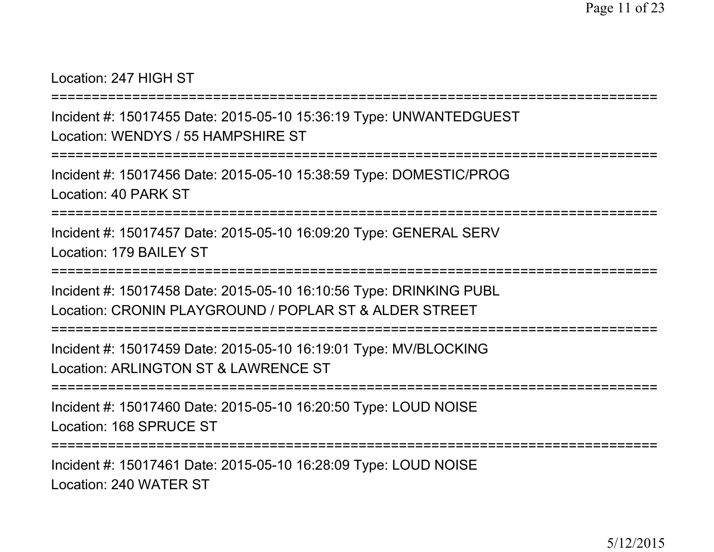Location: 247 HIGH ST

===========================================================================

Incident #: 15017455 Date: 2015-05-10 15:36:19 Type: UNWANTEDGUESTLocation: WENDYS / 55 HAMPSHIRE ST

===========================================================================

Incident #: 15017456 Date: 2015-05-10 15:38:59 Type: DOMESTIC/PROGLocation: 40 PARK ST

===========================================================================

Incident #: 15017457 Date: 2015-05-10 16:09:20 Type: GENERAL SERVLocation: 179 BAILEY ST

===========================================================================

Incident #: 15017458 Date: 2015-05-10 16:10:56 Type: DRINKING PUBLLocation: CRONIN PLAYGROUND / POPLAR ST & ALDER STREET

===========================================================================

Incident #: 15017459 Date: 2015-05-10 16:19:01 Type: MV/BLOCKINGLocation: ARLINGTON ST & LAWRENCE ST

===========================================================================

Incident #: 15017460 Date: 2015-05-10 16:20:50 Type: LOUD NOISELocation: 168 SPRUCE ST

===========================================================================

Incident #: 15017461 Date: 2015-05-10 16:28:09 Type: LOUD NOISELocation: 240 WATER ST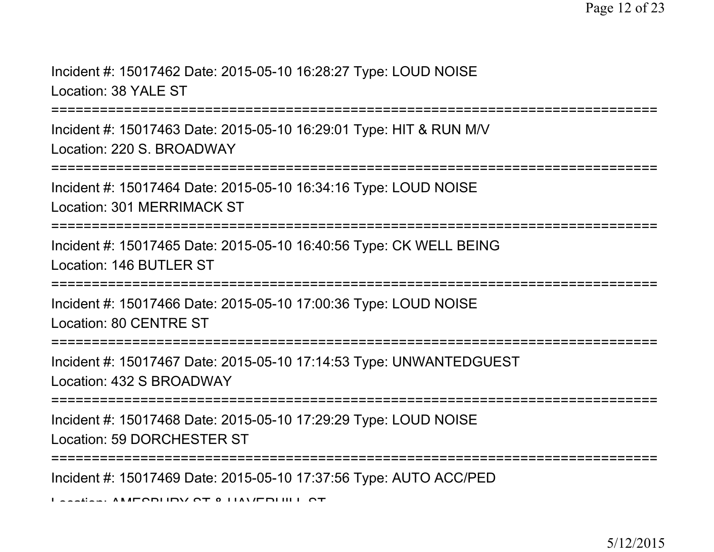Incident #: 15017462 Date: 2015-05-10 16:28:27 Type: LOUD NOISELocation: 38 YALE ST

===========================================================================

Incident #: 15017463 Date: 2015-05-10 16:29:01 Type: HIT & RUN M/VLocation: 220 S. BROADWAY

```
===========================================================================
```
Incident #: 15017464 Date: 2015-05-10 16:34:16 Type: LOUD NOISELocation: 301 MERRIMACK ST

===========================================================================

Incident #: 15017465 Date: 2015-05-10 16:40:56 Type: CK WELL BEINGLocation: 146 BUTLER ST

===========================================================================

Incident #: 15017466 Date: 2015-05-10 17:00:36 Type: LOUD NOISELocation: 80 CENTRE ST

===========================================================================

Incident #: 15017467 Date: 2015-05-10 17:14:53 Type: UNWANTEDGUESTLocation: 432 S BROADWAY

===========================================================================

Incident #: 15017468 Date: 2015-05-10 17:29:29 Type: LOUD NOISELocation: 59 DORCHESTER ST

===========================================================================

Incident #: 15017469 Date: 2015-05-10 17:37:56 Type: AUTO ACC/PED

Location: AMESBURY ST & HAVERHILL ST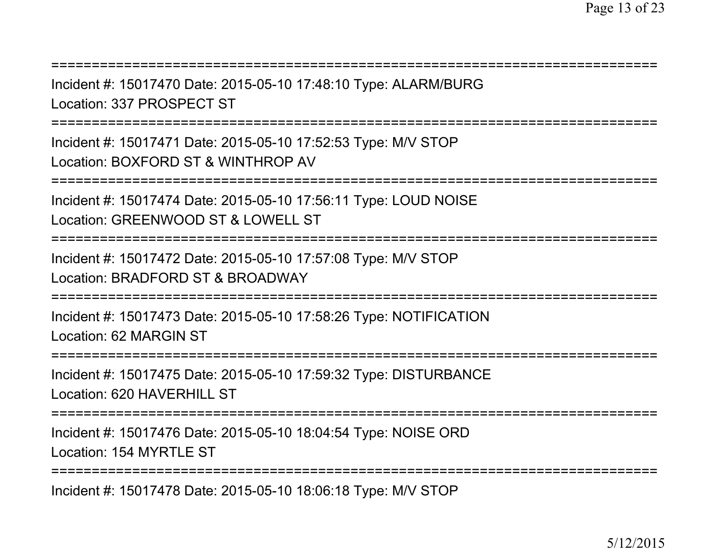===========================================================================Incident #: 15017470 Date: 2015-05-10 17:48:10 Type: ALARM/BURGLocation: 337 PROSPECT ST===========================================================================Incident #: 15017471 Date: 2015-05-10 17:52:53 Type: M/V STOPLocation: BOXFORD ST & WINTHROP AV===========================================================================Incident #: 15017474 Date: 2015-05-10 17:56:11 Type: LOUD NOISELocation: GREENWOOD ST & LOWELL ST===========================================================================Incident #: 15017472 Date: 2015-05-10 17:57:08 Type: M/V STOPLocation: BRADFORD ST & BROADWAY===========================================================================Incident #: 15017473 Date: 2015-05-10 17:58:26 Type: NOTIFICATIONLocation: 62 MARGIN ST===========================================================================Incident #: 15017475 Date: 2015-05-10 17:59:32 Type: DISTURBANCELocation: 620 HAVERHILL ST===========================================================================Incident #: 15017476 Date: 2015-05-10 18:04:54 Type: NOISE ORDLocation: 154 MYRTLE ST===========================================================================

Incident #: 15017478 Date: 2015-05-10 18:06:18 Type: M/V STOP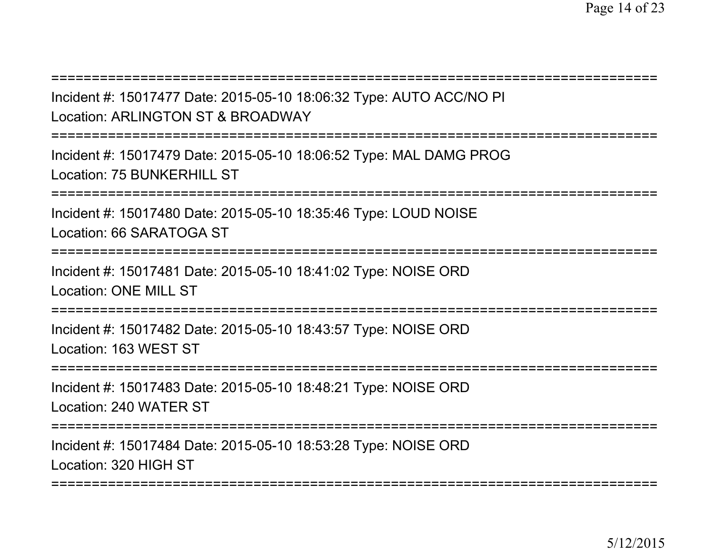| Incident #: 15017477 Date: 2015-05-10 18:06:32 Type: AUTO ACC/NO PI<br>Location: ARLINGTON ST & BROADWAY             |
|----------------------------------------------------------------------------------------------------------------------|
| Incident #: 15017479 Date: 2015-05-10 18:06:52 Type: MAL DAMG PROG<br>Location: 75 BUNKERHILL ST                     |
| Incident #: 15017480 Date: 2015-05-10 18:35:46 Type: LOUD NOISE<br>Location: 66 SARATOGA ST<br>===================== |
| Incident #: 15017481 Date: 2015-05-10 18:41:02 Type: NOISE ORD<br><b>Location: ONE MILL ST</b>                       |
| Incident #: 15017482 Date: 2015-05-10 18:43:57 Type: NOISE ORD<br>Location: 163 WEST ST<br>=====================     |
| Incident #: 15017483 Date: 2015-05-10 18:48:21 Type: NOISE ORD<br>Location: 240 WATER ST                             |
| Incident #: 15017484 Date: 2015-05-10 18:53:28 Type: NOISE ORD<br>Location: 320 HIGH ST                              |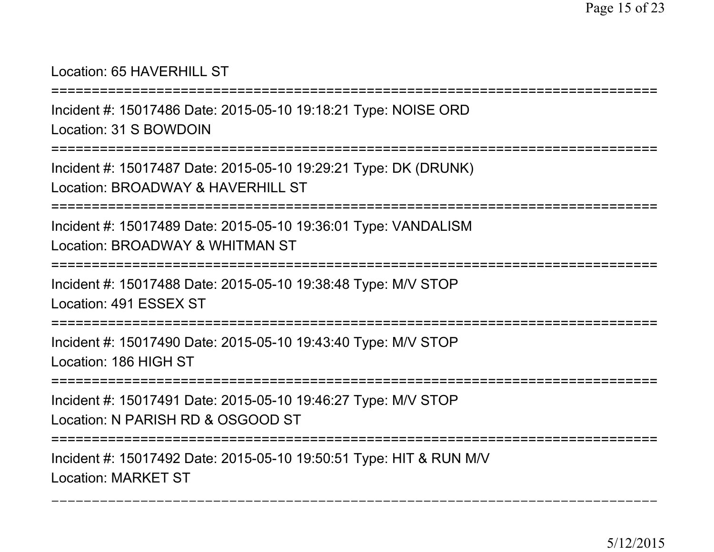### Location: 65 HAVERHILL ST

===========================================================================Incident #: 15017486 Date: 2015-05-10 19:18:21 Type: NOISE ORD

Location: 31 S BOWDOIN

===========================================================================

Incident #: 15017487 Date: 2015-05-10 19:29:21 Type: DK (DRUNK)

Location: BROADWAY & HAVERHILL ST

===========================================================================

Incident #: 15017489 Date: 2015-05-10 19:36:01 Type: VANDALISMLocation: BROADWAY & WHITMAN ST

===========================================================================

Incident #: 15017488 Date: 2015-05-10 19:38:48 Type: M/V STOPLocation: 491 ESSEX ST

===========================================================================

Incident #: 15017490 Date: 2015-05-10 19:43:40 Type: M/V STOPLocation: 186 HIGH ST

===========================================================================

Incident #: 15017491 Date: 2015-05-10 19:46:27 Type: M/V STOPLocation: N PARISH RD & OSGOOD ST

===========================================================================

===========================================================================

Incident #: 15017492 Date: 2015-05-10 19:50:51 Type: HIT & RUN M/VLocation: MARKET ST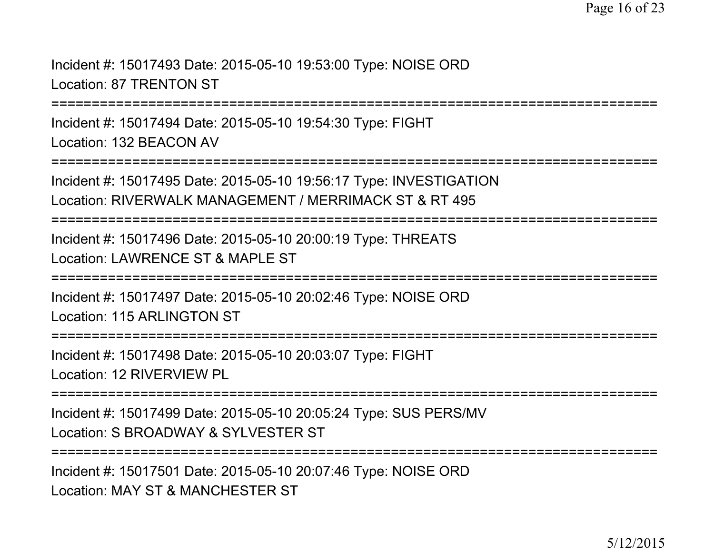Incident #: 15017493 Date: 2015-05-10 19:53:00 Type: NOISE ORDLocation: 87 TRENTON ST

===========================================================================

Incident #: 15017494 Date: 2015-05-10 19:54:30 Type: FIGHTLocation: 132 BEACON AV

===========================================================================

Incident #: 15017495 Date: 2015-05-10 19:56:17 Type: INVESTIGATIONLocation: RIVERWALK MANAGEMENT / MERRIMACK ST & RT 495

===========================================================================

Incident #: 15017496 Date: 2015-05-10 20:00:19 Type: THREATSLocation: LAWRENCE ST & MAPLE ST

===========================================================================

Incident #: 15017497 Date: 2015-05-10 20:02:46 Type: NOISE ORDLocation: 115 ARLINGTON ST

===========================================================================

Incident #: 15017498 Date: 2015-05-10 20:03:07 Type: FIGHTLocation: 12 RIVERVIEW PL

===========================================================================

Incident #: 15017499 Date: 2015-05-10 20:05:24 Type: SUS PERS/MVLocation: S BROADWAY & SYLVESTER ST

===========================================================================

Incident #: 15017501 Date: 2015-05-10 20:07:46 Type: NOISE ORDLocation: MAY ST & MANCHESTER ST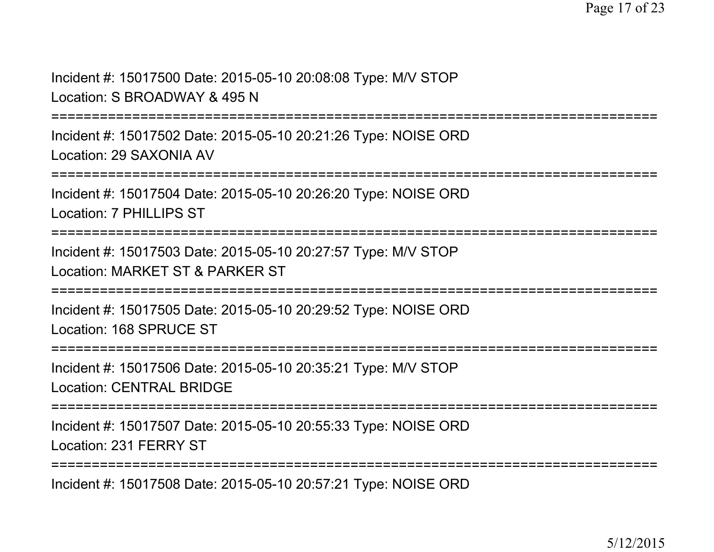Incident #: 15017500 Date: 2015-05-10 20:08:08 Type: M/V STOPLocation: S BROADWAY & 495 N

===========================================================================

Incident #: 15017502 Date: 2015-05-10 20:21:26 Type: NOISE ORDLocation: 29 SAXONIA AV

===========================================================================

Incident #: 15017504 Date: 2015-05-10 20:26:20 Type: NOISE ORDLocation: 7 PHILLIPS ST

===========================================================================

Incident #: 15017503 Date: 2015-05-10 20:27:57 Type: M/V STOPLocation: MARKET ST & PARKER ST

===========================================================================

Incident #: 15017505 Date: 2015-05-10 20:29:52 Type: NOISE ORDLocation: 168 SPRUCE ST

===========================================================================

Incident #: 15017506 Date: 2015-05-10 20:35:21 Type: M/V STOPLocation: CENTRAL BRIDGE

===========================================================================

Incident #: 15017507 Date: 2015-05-10 20:55:33 Type: NOISE ORDLocation: 231 FERRY ST

===========================================================================

Incident #: 15017508 Date: 2015-05-10 20:57:21 Type: NOISE ORD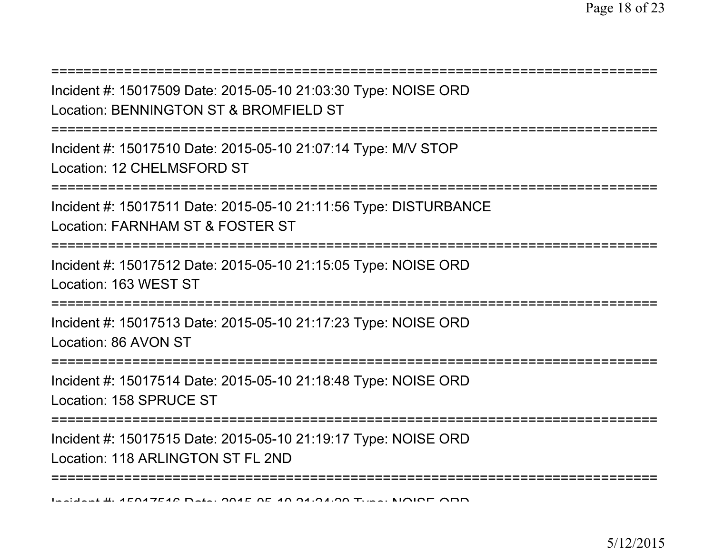| Incident #: 15017509 Date: 2015-05-10 21:03:30 Type: NOISE ORD<br>Location: BENNINGTON ST & BROMFIELD ST                    |
|-----------------------------------------------------------------------------------------------------------------------------|
| Incident #: 15017510 Date: 2015-05-10 21:07:14 Type: M/V STOP<br>Location: 12 CHELMSFORD ST                                 |
| Incident #: 15017511 Date: 2015-05-10 21:11:56 Type: DISTURBANCE<br>Location: FARNHAM ST & FOSTER ST                        |
| Incident #: 15017512 Date: 2015-05-10 21:15:05 Type: NOISE ORD<br>Location: 163 WEST ST<br>-------------------------------- |
| Incident #: 15017513 Date: 2015-05-10 21:17:23 Type: NOISE ORD<br>Location: 86 AVON ST<br>================================  |
| Incident #: 15017514 Date: 2015-05-10 21:18:48 Type: NOISE ORD<br>Location: 158 SPRUCE ST                                   |
| Incident #: 15017515 Date: 2015-05-10 21:19:17 Type: NOISE ORD<br>Location: 118 ARLINGTON ST FL 2ND                         |
|                                                                                                                             |

Incident #: 15017516 Date: 2015 <sup>05</sup> 10 21:24:29 Type: NOISE ORD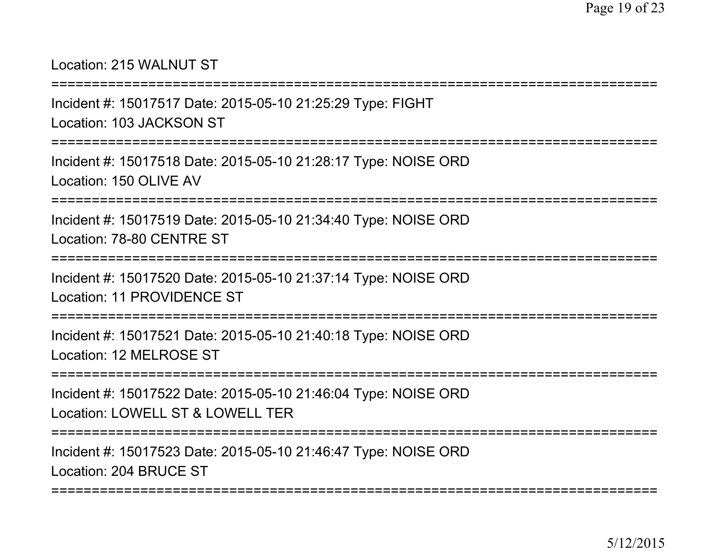# Location: 215 WALNUT ST

=======================

Incident #: 15017517 Date: 2015-05-10 21:25:29 Type: FIGHTLocation: 103 JACKSON ST

===========================================================================

Incident #: 15017518 Date: 2015-05-10 21:28:17 Type: NOISE ORDLocation: 150 OLIVE AV

===========================================================================

Incident #: 15017519 Date: 2015-05-10 21:34:40 Type: NOISE ORDLocation: 78-80 CENTRE ST

===========================================================================

Incident #: 15017520 Date: 2015-05-10 21:37:14 Type: NOISE ORDLocation: 11 PROVIDENCE ST

===========================================================================

Incident #: 15017521 Date: 2015-05-10 21:40:18 Type: NOISE ORDLocation: 12 MELROSE ST

===========================================================================

Incident #: 15017522 Date: 2015-05-10 21:46:04 Type: NOISE ORDLocation: LOWELL ST & LOWELL TER

===========================================================================

Incident #: 15017523 Date: 2015-05-10 21:46:47 Type: NOISE ORDLocation: 204 BRUCE ST

===========================================================================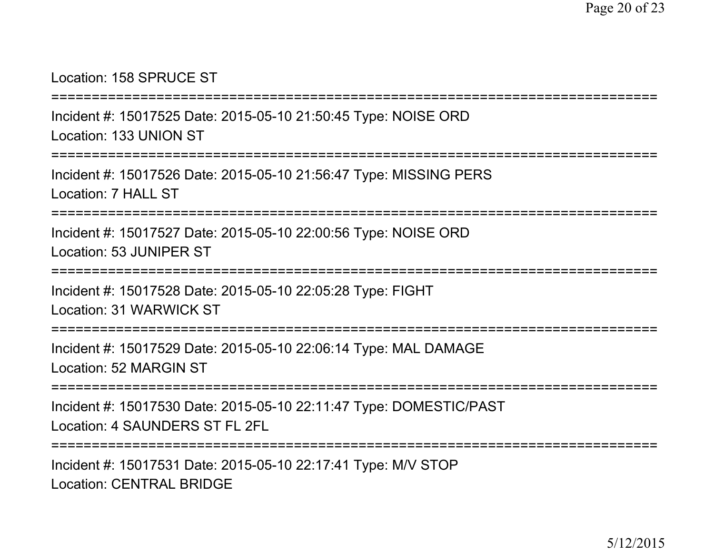#### Location: 158 SPRUCE ST

===========================================================================

Incident #: 15017525 Date: 2015-05-10 21:50:45 Type: NOISE ORDLocation: 133 UNION ST

===========================================================================

Incident #: 15017526 Date: 2015-05-10 21:56:47 Type: MISSING PERSLocation: 7 HALL ST

=============================

Incident #: 15017527 Date: 2015-05-10 22:00:56 Type: NOISE ORDLocation: 53 JUNIPER ST

========================

Incident #: 15017528 Date: 2015-05-10 22:05:28 Type: FIGHTLocation: 31 WARWICK ST

===========================================================================

Incident #: 15017529 Date: 2015-05-10 22:06:14 Type: MAL DAMAGELocation: 52 MARGIN ST

===========================================================================

Incident #: 15017530 Date: 2015-05-10 22:11:47 Type: DOMESTIC/PASTLocation: 4 SAUNDERS ST FL 2FL

===========================================================================

Incident #: 15017531 Date: 2015-05-10 22:17:41 Type: M/V STOPLocation: CENTRAL BRIDGE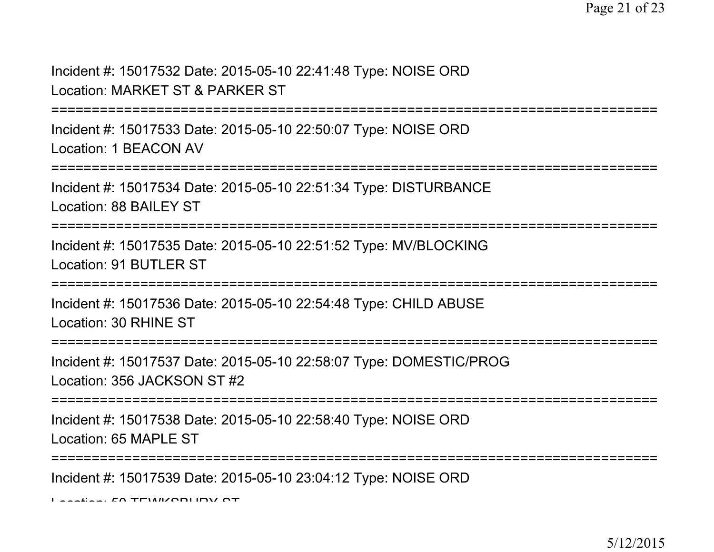Incident #: 15017532 Date: 2015-05-10 22:41:48 Type: NOISE ORDLocation: MARKET ST & PARKER ST

===========================================================================

Incident #: 15017533 Date: 2015-05-10 22:50:07 Type: NOISE ORDLocation: 1 BEACON AV

===============

Incident #: 15017534 Date: 2015-05-10 22:51:34 Type: DISTURBANCELocation: 88 BAILEY ST

===========================================================================

Incident #: 15017535 Date: 2015-05-10 22:51:52 Type: MV/BLOCKINGLocation: 91 BUTLER ST

**===============** 

Incident #: 15017536 Date: 2015-05-10 22:54:48 Type: CHILD ABUSELocation: 30 RHINE ST

===========================================================================

Incident #: 15017537 Date: 2015-05-10 22:58:07 Type: DOMESTIC/PROGLocation: 356 JACKSON ST #2

**===================** 

Incident #: 15017538 Date: 2015-05-10 22:58:40 Type: NOISE ORDLocation: 65 MAPLE ST

===========================================================================

Incident #: 15017539 Date: 2015-05-10 23:04:12 Type: NOISE ORD

Location: 50 TEWIZODLIDV OT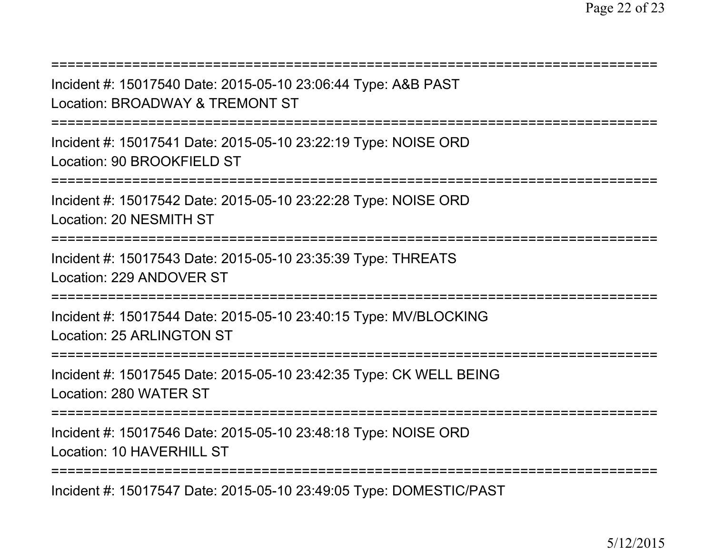Incident #: 15017547 Date: 2015-05-10 23:49:05 Type: DOMESTIC/PAST